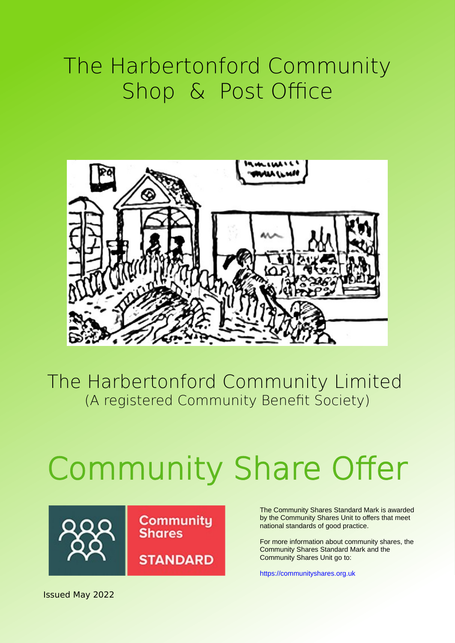### The Harbertonford Community Shop & Post Office



The Harbertonford Community Limited (A registered Community Benefit Society)

# Community Share Offer

**Community** 

**STANDARD** 

**Shares** 



The Community Shares Standard Mark is awarded by the Community Shares Unit to offers that meet national standards of good practice.

For more information about community shares, the Community Shares Standard Mark and the Community Shares Unit go to:

[https://communityshares.org.uk](https://communityshares.org.uk/)

Issued May 2022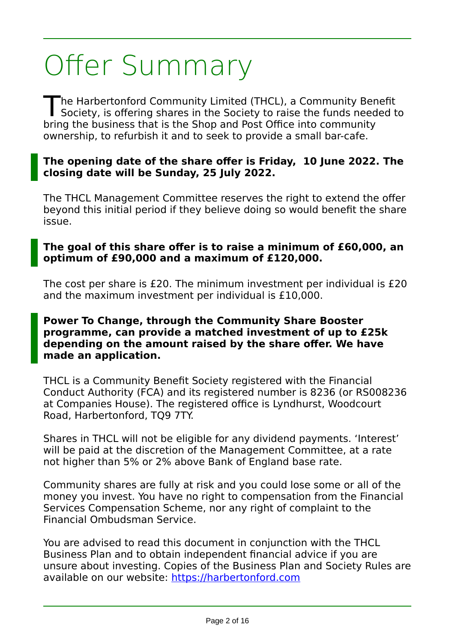## Offer Summary

he Harbertonford Community Limited (THCL), a Community Benefit The Harbertonford Community Limited (THCL), a Community Benefit<br>Society, is offering shares in the Society to raise the funds needed to bring the business that is the Shop and Post Office into community ownership, to refurbish it and to seek to provide a small bar-cafe.

#### **The opening date of the share offer is Friday, 10 June 2022. The closing date will be Sunday, 25 July 2022.**

The THCL Management Committee reserves the right to extend the offer beyond this initial period if they believe doing so would benefit the share issue.

#### **The goal of this share offer is to raise a minimum of £60,000, an optimum of £90,000 and a maximum of £120,000.**

The cost per share is £20. The minimum investment per individual is £20 and the maximum investment per individual is £10,000.

#### **Power To Change, through the Community Share Booster programme, can provide a matched investment of up to £25k depending on the amount raised by the share offer. We have made an application.**

THCL is a Community Benefit Society registered with the Financial Conduct Authority (FCA) and its registered number is 8236 (or RS008236 at Companies House). The registered office is Lyndhurst, Woodcourt Road, Harbertonford, TQ9 7TY.

Shares in THCL will not be eligible for any dividend payments. 'Interest' will be paid at the discretion of the Management Committee, at a rate not higher than 5% or 2% above Bank of England base rate.

Community shares are fully at risk and you could lose some or all of the money you invest. You have no right to compensation from the Financial Services Compensation Scheme, nor any right of complaint to the Financial Ombudsman Service.

You are advised to read this document in conjunction with the THCL Business Plan and to obtain independent financial advice if you are unsure about investing. Copies of the Business Plan and Society Rules are available on our website: [https://harbertonford.com](https://harbertonford.com/)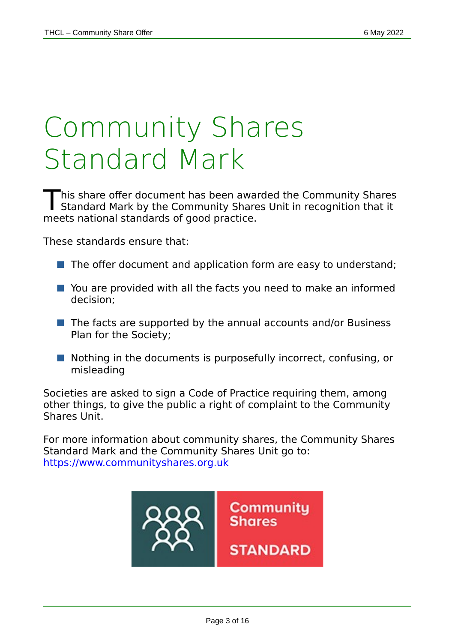## Community Shares Standard Mark

his share offer document has been awarded the Community Shares This share offer document has been awarded the Community Shares<br>Standard Mark by the Community Shares Unit in recognition that it meets national standards of good practice.

These standards ensure that:

- The offer document and application form are easy to understand;
- You are provided with all the facts you need to make an informed decision;
- $\blacksquare$  The facts are supported by the annual accounts and/or Business Plan for the Society;
- Nothing in the documents is purposefully incorrect, confusing, or misleading

Societies are asked to sign a Code of Practice requiring them, among other things, to give the public a right of complaint to the Community Shares Unit.

For more information about community shares, the Community Shares Standard Mark and the Community Shares Unit go to: https://www.communityshares.org.uk

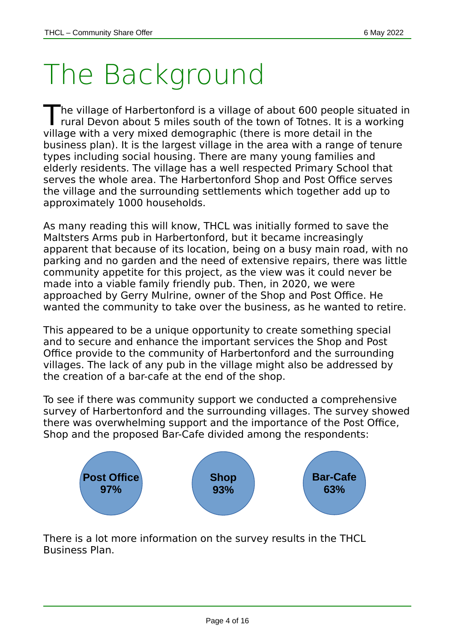## The Background

The village of Harbertonford is a village of about 600 people situated in<br>The village of Harbertonford is a village of about 600 people situated in rural Devon about 5 miles south of the town of Totnes. It is a working village with a very mixed demographic (there is more detail in the business plan). It is the largest village in the area with a range of tenure types including social housing. There are many young families and elderly residents. The village has a well respected Primary School that serves the whole area. The Harbertonford Shop and Post Office serves the village and the surrounding settlements which together add up to approximately 1000 households.

As many reading this will know, THCL was initially formed to save the Maltsters Arms pub in Harbertonford, but it became increasingly apparent that because of its location, being on a busy main road, with no parking and no garden and the need of extensive repairs, there was little community appetite for this project, as the view was it could never be made into a viable family friendly pub. Then, in 2020, we were approached by Gerry Mulrine, owner of the Shop and Post Office. He wanted the community to take over the business, as he wanted to retire.

This appeared to be a unique opportunity to create something special and to secure and enhance the important services the Shop and Post Office provide to the community of Harbertonford and the surrounding villages. The lack of any pub in the village might also be addressed by the creation of a bar-cafe at the end of the shop.

To see if there was community support we conducted a comprehensive survey of Harbertonford and the surrounding villages. The survey showed there was overwhelming support and the importance of the Post Office, Shop and the proposed Bar-Cafe divided among the respondents:



There is a lot more information on the survey results in the THCL Business Plan.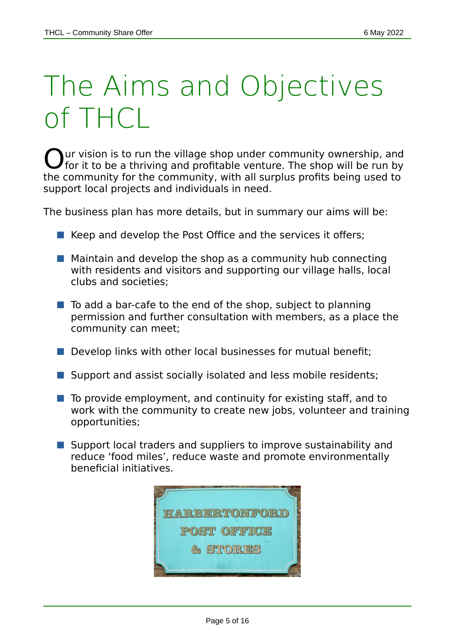## The Aims and Objectives of THCL

ur vision is to run the village shop under community ownership, and  $\bigcirc$  our vision is to run the village shop under community ownership, and for it to be a thriving and profitable venture. The shop will be run by the community for the community, with all surplus profits being used to support local projects and individuals in need.

The business plan has more details, but in summary our aims will be:

- $\blacksquare$  Keep and develop the Post Office and the services it offers;
- $\blacksquare$  Maintain and develop the shop as a community hub connecting with residents and visitors and supporting our village halls, local clubs and societies;
- $\blacksquare$  To add a bar-cafe to the end of the shop, subject to planning permission and further consultation with members, as a place the community can meet;
- $\blacksquare$  Develop links with other local businesses for mutual benefit;
- Support and assist socially isolated and less mobile residents;
- To provide employment, and continuity for existing staff, and to work with the community to create new jobs, volunteer and training opportunities;
- Support local traders and suppliers to improve sustainability and reduce 'food miles', reduce waste and promote environmentally beneficial initiatives.

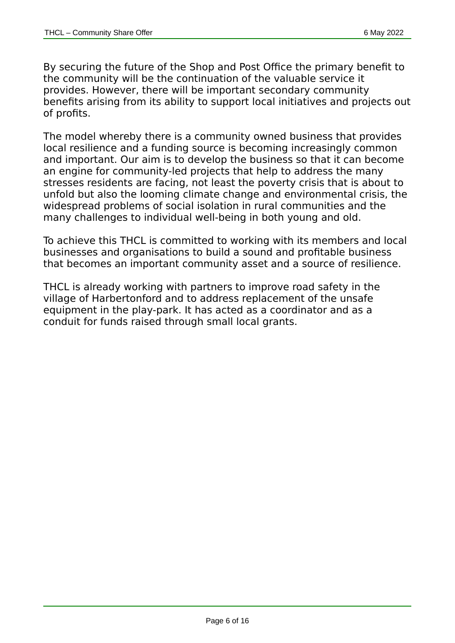By securing the future of the Shop and Post Office the primary benefit to the community will be the continuation of the valuable service it provides. However, there will be important secondary community benefits arising from its ability to support local initiatives and projects out of profits.

The model whereby there is a community owned business that provides local resilience and a funding source is becoming increasingly common and important. Our aim is to develop the business so that it can become an engine for community-led projects that help to address the many stresses residents are facing, not least the poverty crisis that is about to unfold but also the looming climate change and environmental crisis, the widespread problems of social isolation in rural communities and the many challenges to individual well-being in both young and old.

To achieve this THCL is committed to working with its members and local businesses and organisations to build a sound and profitable business that becomes an important community asset and a source of resilience.

THCL is already working with partners to improve road safety in the village of Harbertonford and to address replacement of the unsafe equipment in the play-park. It has acted as a coordinator and as a conduit for funds raised through small local grants.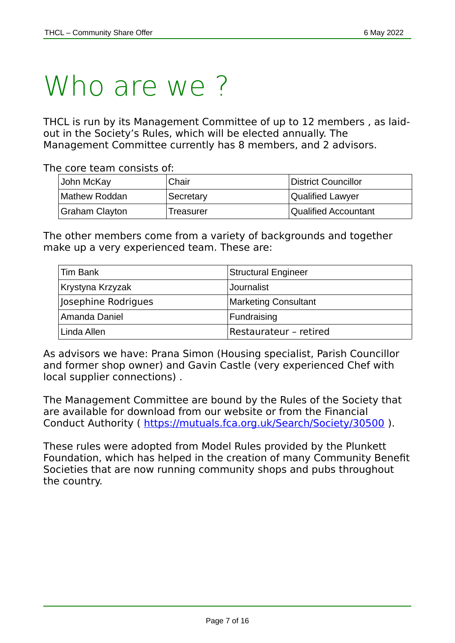### Who are we?

THCL is run by its Management Committee of up to 12 members , as laidout in the Society's Rules, which will be elected annually. The Management Committee currently has 8 members, and 2 advisors.

The core team consists of:

| John McKay     | Chair     | District Councillor         |
|----------------|-----------|-----------------------------|
| Mathew Roddan  | Secretary | <b>Qualified Lawyer</b>     |
| Graham Clayton | Treasurer | <b>Qualified Accountant</b> |

The other members come from a variety of backgrounds and together make up a very experienced team. These are:

| Tim Bank            | <b>Structural Engineer</b>  |
|---------------------|-----------------------------|
| Krystyna Krzyzak    | Journalist                  |
| Josephine Rodrigues | <b>Marketing Consultant</b> |
| Amanda Daniel       | Fundraising                 |
| Linda Allen         | Restaurateur - retired      |

As advisors we have: Prana Simon (Housing specialist, Parish Councillor and former shop owner) and Gavin Castle (very experienced Chef with local supplier connections) .

The Management Committee are bound by the Rules of the Society that are available for download from our website or from the Financial Conduct Authority (<https://mutuals.fca.org.uk/Search/Society/30500>).

These rules were adopted from Model Rules provided by the Plunkett Foundation, which has helped in the creation of many Community Benefit Societies that are now running community shops and pubs throughout the country.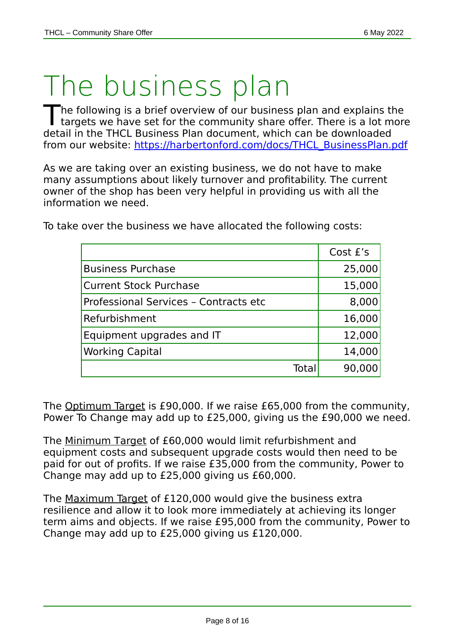### The business plan

he following is a brief overview of our business plan and explains the The following is a brief overview of our business plan and explains the<br>targets we have set for the community share offer. There is a lot more detail in the THCL Business Plan document, which can be downloaded from our website: [https://harbertonford.com/docs/THCL\\_BusinessPlan.pdf](https://harbertonford.com/docs/THCL_BusinessPlan.pdf)

As we are taking over an existing business, we do not have to make many assumptions about likely turnover and profitability. The current owner of the shop has been very helpful in providing us with all the information we need.

To take over the business we have allocated the following costs:

|                                       |      | Cost £'s |
|---------------------------------------|------|----------|
| <b>Business Purchase</b>              |      | 25,000   |
| <b>Current Stock Purchase</b>         |      | 15,000   |
| Professional Services - Contracts etc |      | 8,000    |
| Refurbishment                         |      | 16,000   |
| Equipment upgrades and IT             |      | 12,000   |
| <b>Working Capital</b>                |      | 14,000   |
|                                       | Tota | 90,00    |

The Optimum Target is £90,000. If we raise £65,000 from the community, Power To Change may add up to £25,000, giving us the £90,000 we need.

The Minimum Target of £60,000 would limit refurbishment and equipment costs and subsequent upgrade costs would then need to be paid for out of profits. If we raise £35,000 from the community, Power to Change may add up to £25,000 giving us £60,000.

The Maximum Target of £120,000 would give the business extra resilience and allow it to look more immediately at achieving its longer term aims and objects. If we raise £95,000 from the community, Power to Change may add up to £25,000 giving us £120,000.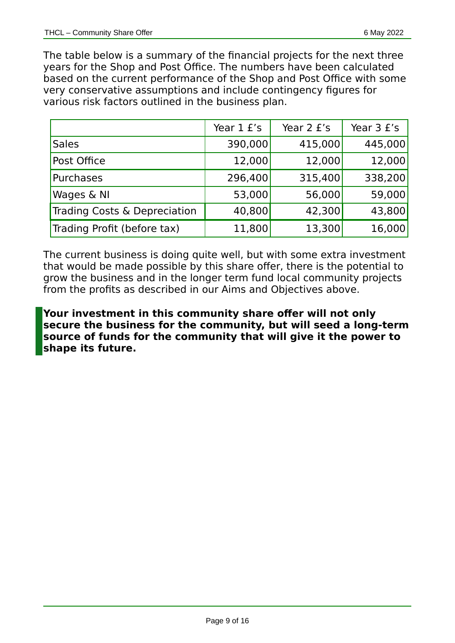The table below is a summary of the financial projects for the next three years for the Shop and Post Office. The numbers have been calculated based on the current performance of the Shop and Post Office with some very conservative assumptions and include contingency figures for various risk factors outlined in the business plan.

|                              | Year 1 £'s | Year 2 £'s | Year 3 £'s |
|------------------------------|------------|------------|------------|
| <b>Sales</b>                 | 390,000    | 415,000    | 445,000    |
| Post Office                  | 12,000     | 12,000     | 12,000     |
| Purchases                    | 296,400    | 315,400    | 338,200    |
| Wages & NI                   | 53,000     | 56,000     | 59,000     |
| Trading Costs & Depreciation | 40,800     | 42,300     | 43,800     |
| Trading Profit (before tax)  | 11,800     | 13,300     | 16,000     |

The current business is doing quite well, but with some extra investment that would be made possible by this share offer, there is the potential to grow the business and in the longer term fund local community projects from the profits as described in our Aims and Objectives above.

**Your investment in this community share offer will not only secure the business for the community, but will seed a long-term source of funds for the community that will give it the power to shape its future.**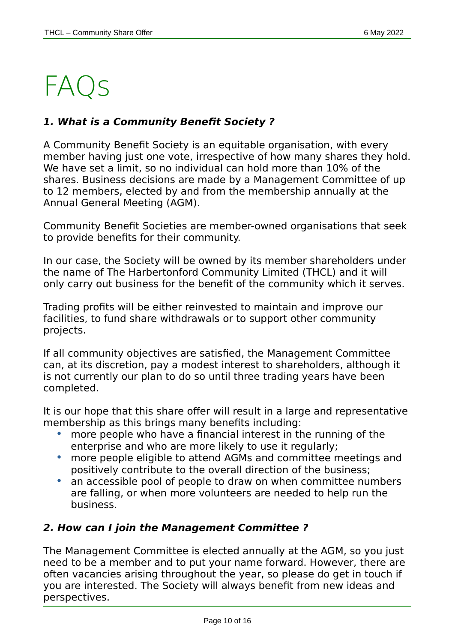### FAQs

#### **1. What is a Community Benefit Society ?**

A Community Benefit Society is an equitable organisation, with every member having just one vote, irrespective of how many shares they hold. We have set a limit, so no individual can hold more than 10% of the shares. Business decisions are made by a Management Committee of up to 12 members, elected by and from the membership annually at the Annual General Meeting (AGM).

Community Benefit Societies are member-owned organisations that seek to provide benefits for their community.

In our case, the Society will be owned by its member shareholders under the name of The Harbertonford Community Limited (THCL) and it will only carry out business for the benefit of the community which it serves.

Trading profits will be either reinvested to maintain and improve our facilities, to fund share withdrawals or to support other community projects.

If all community objectives are satisfied, the Management Committee can, at its discretion, pay a modest interest to shareholders, although it is not currently our plan to do so until three trading years have been completed.

It is our hope that this share offer will result in a large and representative membership as this brings many benefits including:

- more people who have a financial interest in the running of the enterprise and who are more likely to use it regularly;
- more people eligible to attend AGMs and committee meetings and positively contribute to the overall direction of the business;
- an accessible pool of people to draw on when committee numbers are falling, or when more volunteers are needed to help run the business.

#### **2. How can I join the Management Committee ?**

The Management Committee is elected annually at the AGM, so you just need to be a member and to put your name forward. However, there are often vacancies arising throughout the year, so please do get in touch if you are interested. The Society will always benefit from new ideas and perspectives.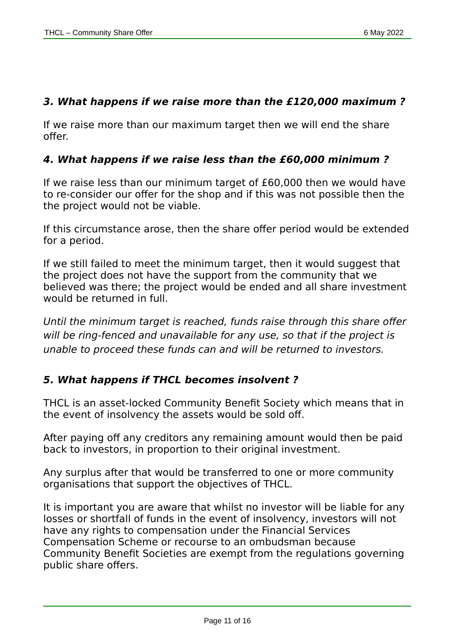#### **3. What happens if we raise more than the £120,000 maximum ?**

If we raise more than our maximum target then we will end the share offer.

#### **4. What happens if we raise less than the £60,000 minimum ?**

If we raise less than our minimum target of £60,000 then we would have to re-consider our offer for the shop and if this was not possible then the the project would not be viable.

If this circumstance arose, then the share offer period would be extended for a period.

If we still failed to meet the minimum target, then it would suggest that the project does not have the support from the community that we believed was there; the project would be ended and all share investment would be returned in full.

Until the minimum target is reached, funds raise through this share offer will be ring-fenced and unavailable for any use, so that if the project is unable to proceed these funds can and will be returned to investors.

#### **5. What happens if THCL becomes insolvent ?**

THCL is an asset-locked Community Benefit Society which means that in the event of insolvency the assets would be sold off.

After paying off any creditors any remaining amount would then be paid back to investors, in proportion to their original investment.

Any surplus after that would be transferred to one or more community organisations that support the objectives of THCL.

It is important you are aware that whilst no investor will be liable for any losses or shortfall of funds in the event of insolvency, investors will not have any rights to compensation under the Financial Services Compensation Scheme or recourse to an ombudsman because Community Benefit Societies are exempt from the regulations governing public share offers.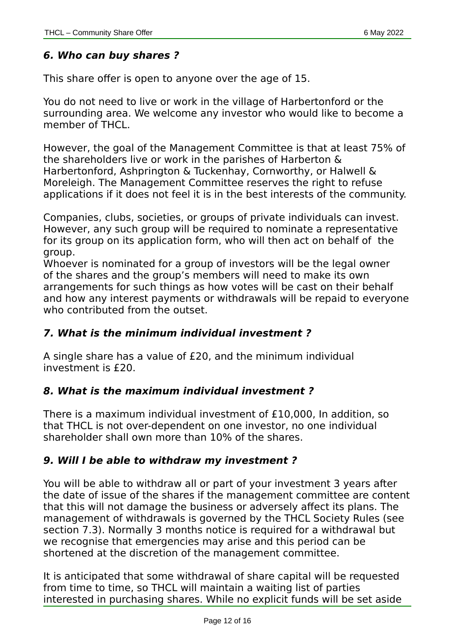#### **6. Who can buy shares ?**

This share offer is open to anyone over the age of 15.

You do not need to live or work in the village of Harbertonford or the surrounding area. We welcome any investor who would like to become a member of THCL.

However, the goal of the Management Committee is that at least 75% of the shareholders live or work in the parishes of Harberton & Harbertonford, Ashprington & Tuckenhay, Cornworthy, or Halwell & Moreleigh. The Management Committee reserves the right to refuse applications if it does not feel it is in the best interests of the community.

Companies, clubs, societies, or groups of private individuals can invest. However, any such group will be required to nominate a representative for its group on its application form, who will then act on behalf of the group.

Whoever is nominated for a group of investors will be the legal owner of the shares and the group's members will need to make its own arrangements for such things as how votes will be cast on their behalf and how any interest payments or withdrawals will be repaid to everyone who contributed from the outset.

#### **7. What is the minimum individual investment ?**

A single share has a value of £20, and the minimum individual investment is £20.

#### **8. What is the maximum individual investment ?**

There is a maximum individual investment of £10,000, In addition, so that THCL is not over-dependent on one investor, no one individual shareholder shall own more than 10% of the shares.

#### **9. Will I be able to withdraw my investment ?**

You will be able to withdraw all or part of your investment 3 years after the date of issue of the shares if the management committee are content that this will not damage the business or adversely affect its plans. The management of withdrawals is governed by the THCL Society Rules (see section 7.3). Normally 3 months notice is required for a withdrawal but we recognise that emergencies may arise and this period can be shortened at the discretion of the management committee.

It is anticipated that some withdrawal of share capital will be requested from time to time, so THCL will maintain a waiting list of parties interested in purchasing shares. While no explicit funds will be set aside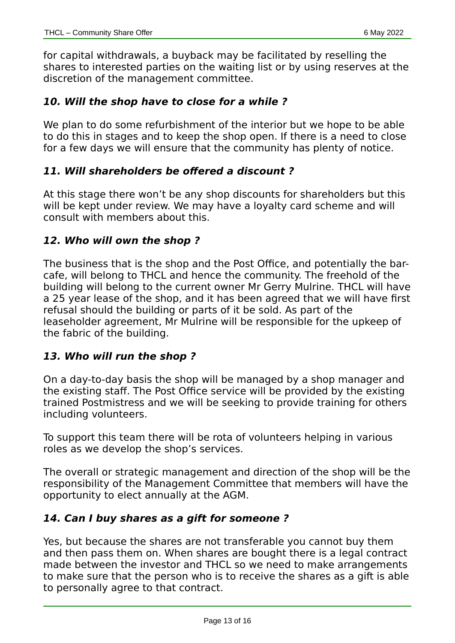for capital withdrawals, a buyback may be facilitated by reselling the shares to interested parties on the waiting list or by using reserves at the discretion of the management committee.

#### **10. Will the shop have to close for a while ?**

We plan to do some refurbishment of the interior but we hope to be able to do this in stages and to keep the shop open. If there is a need to close for a few days we will ensure that the community has plenty of notice.

#### **11. Will shareholders be offered a discount ?**

At this stage there won't be any shop discounts for shareholders but this will be kept under review. We may have a loyalty card scheme and will consult with members about this.

#### **12. Who will own the shop ?**

The business that is the shop and the Post Office, and potentially the barcafe, will belong to THCL and hence the community. The freehold of the building will belong to the current owner Mr Gerry Mulrine. THCL will have a 25 year lease of the shop, and it has been agreed that we will have first refusal should the building or parts of it be sold. As part of the leaseholder agreement, Mr Mulrine will be responsible for the upkeep of the fabric of the building.

#### **13. Who will run the shop ?**

On a day-to-day basis the shop will be managed by a shop manager and the existing staff. The Post Office service will be provided by the existing trained Postmistress and we will be seeking to provide training for others including volunteers.

To support this team there will be rota of volunteers helping in various roles as we develop the shop's services.

The overall or strategic management and direction of the shop will be the responsibility of the Management Committee that members will have the opportunity to elect annually at the AGM.

#### **14. Can I buy shares as a gift for someone ?**

Yes, but because the shares are not transferable you cannot buy them and then pass them on. When shares are bought there is a legal contract made between the investor and THCL so we need to make arrangements to make sure that the person who is to receive the shares as a gift is able to personally agree to that contract.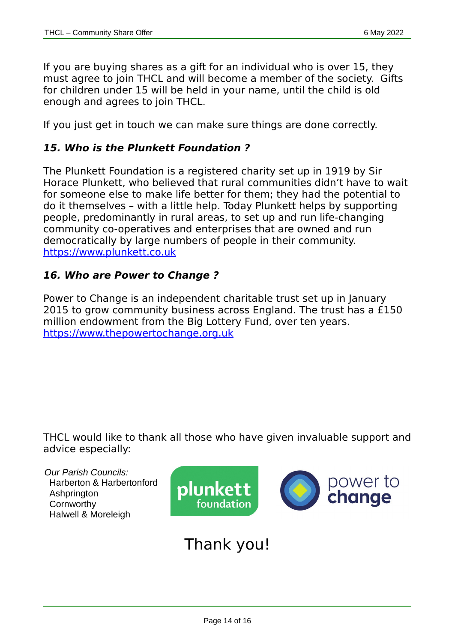If you are buying shares as a gift for an individual who is over 15, they must agree to join THCL and will become a member of the society. Gifts for children under 15 will be held in your name, until the child is old enough and agrees to join THCL.

If you just get in touch we can make sure things are done correctly.

#### **15. Who is the Plunkett Foundation ?**

The Plunkett Foundation is a registered charity set up in 1919 by Sir Horace Plunkett, who believed that rural communities didn't have to wait for someone else to make life better for them; they had the potential to do it themselves – with a little help. Today Plunkett helps by supporting people, predominantly in rural areas, to set up and run life-changing community co-operatives and enterprises that are owned and run democratically by large numbers of people in their community.  [https:// www.plunkett.co.uk](https://www.plunkett.co.uk/)

#### **16. Who are Power to Change ?**

Power to Change is an independent charitable trust set up in January 2015 to grow community business across England. The trust has a £150 million endowment from the Big Lottery Fund, over ten years.  [https:// www.thepowertochange.org.uk](https://www.thepowertochange.org.uk/)

THCL would like to thank all those who have given invaluable support and advice especially:

*Our Parish Councils:* Harberton & Harbertonford Ashprington **Cornworthy** Halwell & Moreleigh



### Thank you!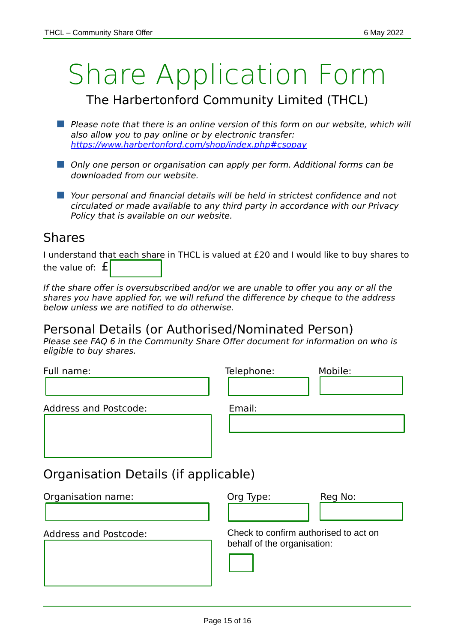### Share Application Form

### The Harbertonford Community Limited (THCL)

- **Please note that there is an online version of this form on our website, which will** also allow you to pay online or by electronic transfer: <https://www.harbertonford.com/shop/index.php#csopay>
- **Dansa Densi Convertsal Convertsal Convertsal Convertsal Convertsal Convertsal Convertsal Densi Convertsal Densi** downloaded from our website.
- **Nour personal and financial details will be held in strictest confidence and not** circulated or made available to any third party in accordance with our Privacy Policy that is available on our website.

#### Shares

I understand that each share in THCL is valued at £20 and I would like to buy shares to the value of:  $f$ 

If the share offer is oversubscribed and/or we are unable to offer you any or all the shares you have applied for, we will refund the difference by cheque to the address below unless we are notified to do otherwise.

### Personal Details (or Authorised/Nominated Person)

Please see FAQ 6 in the Community Share Offer document for information on who is eligible to buy shares.

| Full name:                           | Telephone:                            | Mobile: |
|--------------------------------------|---------------------------------------|---------|
|                                      |                                       |         |
| <b>Address and Postcode:</b>         | Email:                                |         |
|                                      |                                       |         |
|                                      |                                       |         |
|                                      |                                       |         |
| Organisation Details (if applicable) |                                       |         |
| Organisation name:                   | Org Type:                             | Reg No: |
|                                      |                                       |         |
| <b>Address and Postcode:</b>         | Check to confirm authorised to act on |         |
|                                      | behalf of the organisation:           |         |
|                                      |                                       |         |
|                                      |                                       |         |